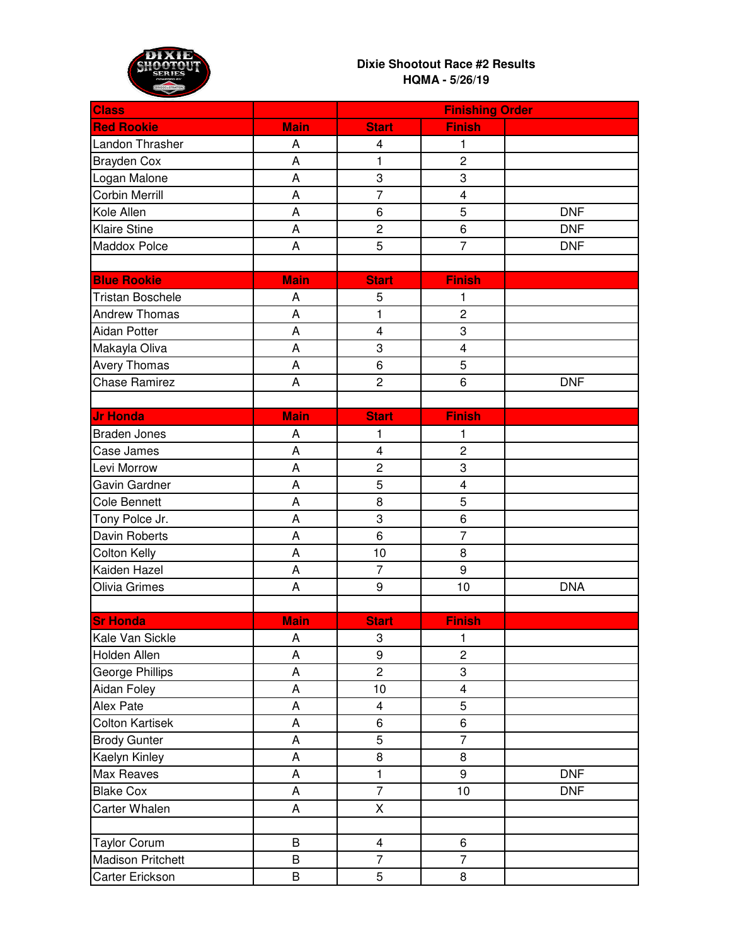

## **Dixie Shootout Race #2 Results HQMA - 5/26/19**

| <b>Class</b>             |             |                         | <b>Finishing Order</b>  |            |
|--------------------------|-------------|-------------------------|-------------------------|------------|
| <b>Red Rookie</b>        | <b>Main</b> | <b>Start</b>            | <b>Finish</b>           |            |
| Landon Thrasher          | A           | $\overline{\mathbf{4}}$ | 1                       |            |
| <b>Brayden Cox</b>       | A           | 1                       | $\overline{c}$          |            |
| Logan Malone             | A           | 3                       | 3                       |            |
| <b>Corbin Merrill</b>    | A           | $\overline{7}$          | $\overline{\mathbf{4}}$ |            |
| Kole Allen               | A           | 6                       | 5                       | <b>DNF</b> |
| <b>Klaire Stine</b>      | A           | $\overline{c}$          | 6                       | <b>DNF</b> |
| Maddox Polce             | A           | 5                       | $\overline{7}$          | <b>DNF</b> |
|                          |             |                         |                         |            |
| <b>Blue Rookie</b>       | <b>Main</b> | <b>Start</b>            | <b>Finish</b>           |            |
| <b>Tristan Boschele</b>  | A           | 5                       | 1                       |            |
| <b>Andrew Thomas</b>     | A           | 1                       | $\overline{c}$          |            |
| Aidan Potter             | A           | $\overline{\mathbf{4}}$ | 3                       |            |
| Makayla Oliva            | A           | 3                       | $\overline{\mathbf{4}}$ |            |
| Avery Thomas             | A           | 6                       | 5                       |            |
| <b>Chase Ramirez</b>     | A           | $\overline{c}$          | 6                       | <b>DNF</b> |
|                          |             |                         |                         |            |
| <b>Jr Honda</b>          | <b>Main</b> | <b>Start</b>            | <b>Finish</b>           |            |
| <b>Braden Jones</b>      | A           | 1                       | 1                       |            |
| Case James               | A           | $\overline{\mathbf{4}}$ | $\overline{c}$          |            |
| Levi Morrow              | A           | $\overline{c}$          | 3                       |            |
| Gavin Gardner            | A           | 5                       | $\overline{\mathbf{4}}$ |            |
| <b>Cole Bennett</b>      | A           | 8                       | 5                       |            |
| Tony Polce Jr.           | A           | 3                       | 6                       |            |
| Davin Roberts            | A           | 6                       | $\overline{7}$          |            |
| <b>Colton Kelly</b>      | A           | 10                      | 8                       |            |
| Kaiden Hazel             | A           | $\overline{7}$          | 9                       |            |
| Olivia Grimes            | A           | 9                       | 10                      | <b>DNA</b> |
|                          |             |                         |                         |            |
| <b>Sr Honda</b>          | <b>Main</b> | <b>Start</b>            | <b>Finish</b>           |            |
| Kale Van Sickle          | A           | 3                       | $\mathbf{1}$            |            |
| Holden Allen             | A           | 9                       | $\overline{c}$          |            |
| <b>George Phillips</b>   | A           | $\overline{2}$          | 3                       |            |
| Aidan Foley              | A           | 10                      | $\overline{\mathbf{4}}$ |            |
| Alex Pate                | A           | $\overline{4}$          | 5                       |            |
| <b>Colton Kartisek</b>   | A           | 6                       | 6                       |            |
| <b>Brody Gunter</b>      | A           | 5                       | $\overline{7}$          |            |
| Kaelyn Kinley            | A           | 8                       | 8                       |            |
| Max Reaves               | A           | $\mathbf{1}$            | 9                       | <b>DNF</b> |
| <b>Blake Cox</b>         | A           | $\overline{7}$          | 10                      | <b>DNF</b> |
| Carter Whalen            | A           | X                       |                         |            |
|                          |             |                         |                         |            |
| <b>Taylor Corum</b>      | B           | $\overline{\mathbf{4}}$ | 6                       |            |
| <b>Madison Pritchett</b> | B           | $\overline{7}$          | $\overline{7}$          |            |
| Carter Erickson          | B           | 5                       | 8                       |            |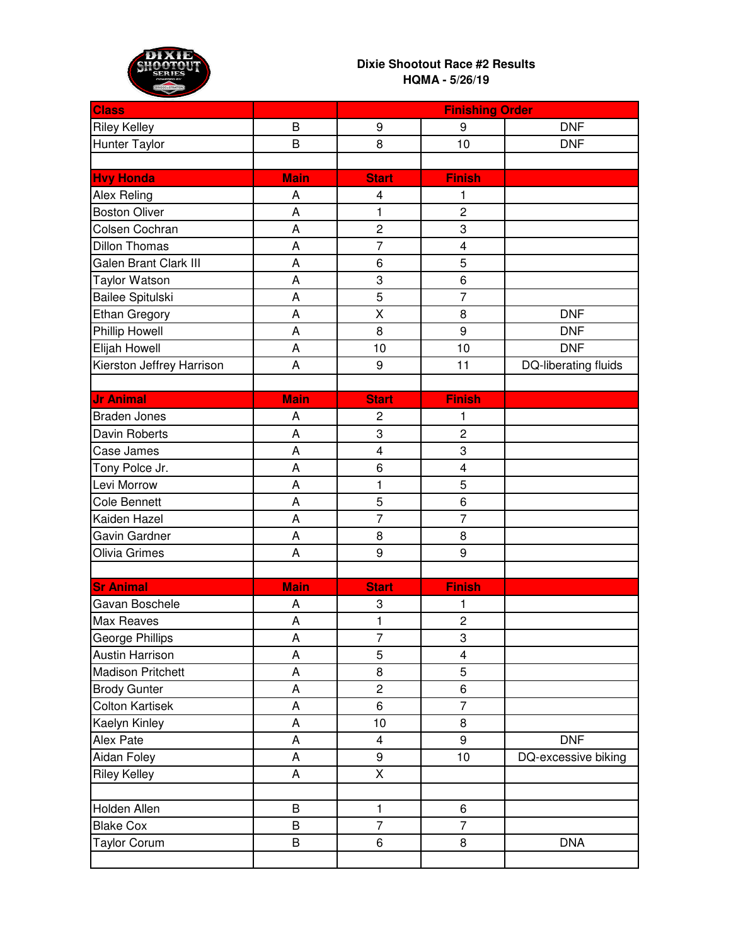

## **Dixie Shootout Race #2 Results HQMA - 5/26/19**

| <b>Class</b>                 |             | <b>Finishing Order</b>  |                |                      |
|------------------------------|-------------|-------------------------|----------------|----------------------|
| <b>Riley Kelley</b>          | B           | 9                       | 9              | <b>DNF</b>           |
| <b>Hunter Taylor</b>         | B           | 8                       | 10             | <b>DNF</b>           |
|                              |             |                         |                |                      |
| <b>Hvy Honda</b>             | <b>Main</b> | <b>Start</b>            | <b>Finish</b>  |                      |
| Alex Reling                  | A           | 4                       | 1              |                      |
| <b>Boston Oliver</b>         | A           | $\mathbf{1}$            | $\overline{c}$ |                      |
| Colsen Cochran               | A           | $\overline{c}$          | 3              |                      |
| <b>Dillon Thomas</b>         | A           | $\overline{7}$          | 4              |                      |
| <b>Galen Brant Clark III</b> | A           | 6                       | 5              |                      |
| <b>Taylor Watson</b>         | A           | 3                       | $\overline{6}$ |                      |
| Bailee Spitulski             | A           | 5                       | $\overline{7}$ |                      |
| Ethan Gregory                | A           | X                       | 8              | <b>DNF</b>           |
| Phillip Howell               | A           | 8                       | 9              | <b>DNF</b>           |
| Elijah Howell                | A           | 10                      | 10             | <b>DNF</b>           |
| Kierston Jeffrey Harrison    | A           | 9                       | 11             | DQ-liberating fluids |
|                              |             |                         |                |                      |
| <b>Jr Animal</b>             | <b>Main</b> | <b>Start</b>            | <b>Finish</b>  |                      |
| <b>Braden Jones</b>          | A           | $\overline{c}$          | 1              |                      |
| Davin Roberts                | A           | 3                       | $\overline{c}$ |                      |
| Case James                   | A           | $\overline{\mathbf{4}}$ | 3              |                      |
| Tony Polce Jr.               | A           | 6                       | 4              |                      |
| Levi Morrow                  | A           | 1                       | 5              |                      |
| <b>Cole Bennett</b>          | A           | 5                       | 6              |                      |
| Kaiden Hazel                 | A           | $\overline{7}$          | $\overline{7}$ |                      |
| Gavin Gardner                | A           | 8                       | 8              |                      |
| Olivia Grimes                | A           | 9                       | 9              |                      |
|                              |             |                         |                |                      |
| <b>Sr Animal</b>             | <b>Main</b> | <b>Start</b>            | <b>Finish</b>  |                      |
| Gavan Boschele               | A           | 3                       | 1              |                      |
| Max Reaves                   | A           | 1                       | $\overline{c}$ |                      |
| George Phillips              | A           | $\overline{7}$          | 3              |                      |
| <b>Austin Harrison</b>       | A           | 5                       | $\overline{4}$ |                      |
| <b>Madison Pritchett</b>     | A           | 8                       | 5              |                      |
| <b>Brody Gunter</b>          | A           | $\overline{2}$          | 6              |                      |
| <b>Colton Kartisek</b>       | A           | 6                       | $\overline{7}$ |                      |
| Kaelyn Kinley                | A           | 10                      | 8              |                      |
| Alex Pate                    | A           | $\overline{\mathbf{4}}$ | 9              | <b>DNF</b>           |
| Aidan Foley                  | A           | 9                       | 10             | DQ-excessive biking  |
| <b>Riley Kelley</b>          | A           | X                       |                |                      |
|                              |             |                         |                |                      |
| Holden Allen                 | B           | $\mathbf{1}$            | 6              |                      |
| <b>Blake Cox</b>             | B           | $\overline{7}$          | $\overline{7}$ |                      |
| <b>Taylor Corum</b>          | B           | 6                       | 8              | <b>DNA</b>           |
|                              |             |                         |                |                      |